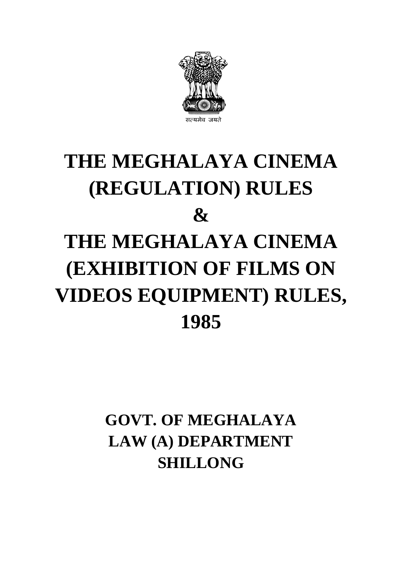

# **THE MEGHALAYA CINEMA (REGULATION) RULES & THE MEGHALAYA CINEMA (EXHIBITION OF FILMS ON VIDEOS EQUIPMENT) RULES, 1985**

# **GOVT. OF MEGHALAYA LAW (A) DEPARTMENT SHILLONG**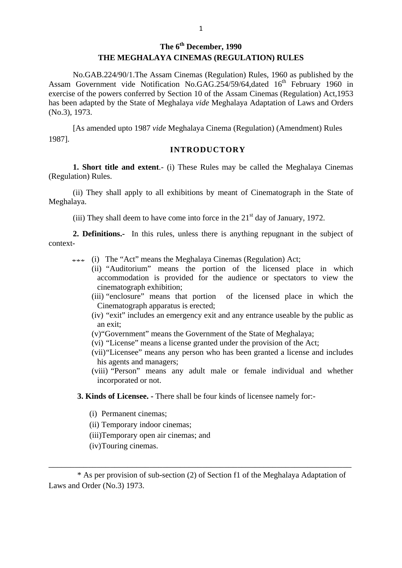# **The 6th December, 1990 THE MEGHALAYA CINEMAS (REGULATION) RULES**

No.GAB.224/90/1.The Assam Cinemas (Regulation) Rules, 1960 as published by the Assam Government vide Notification No.GAG.254/59/64,dated 16<sup>th</sup> February 1960 in exercise of the powers conferred by Section 10 of the Assam Cinemas (Regulation) Act,1953 has been adapted by the State of Meghalaya *vide* Meghalaya Adaptation of Laws and Orders (No.3), 1973.

[As amended upto 1987 *vide* Meghalaya Cinema (Regulation) (Amendment) Rules 1987].

#### **INTRODUCTORY**

**1. Short title and extent**.- (i) These Rules may be called the Meghalaya Cinemas (Regulation) Rules.

(ii) They shall apply to all exhibitions by meant of Cinematograph in the State of Meghalaya.

(iii) They shall deem to have come into force in the  $21<sup>st</sup>$  day of January, 1972.

**2. Definitions.-** In this rules, unless there is anything repugnant in the subject of context-

- \*\*\* (i) The "Act" means the Meghalaya Cinemas (Regulation) Act;
	- (ii) "Auditorium" means the portion of the licensed place in which accommodation is provided for the audience or spectators to view the cinematograph exhibition;
		- (iii) "enclosure" means that portion of the licensed place in which the Cinematograph apparatus is erected;
		- (iv) "exit" includes an emergency exit and any entrance useable by the public as an exit;
		- (v)"Government" means the Government of the State of Meghalaya;
		- (vi) "License" means a license granted under the provision of the Act;
		- (vii)"Licensee" means any person who has been granted a license and includes his agents and managers;
		- (viii) "Person" means any adult male or female individual and whether incorporated or not.
	- **3. Kinds of Licensee. -** There shall be four kinds of licensee namely for:-
		- (i) Permanent cinemas;
		- (ii) Temporary indoor cinemas;
		- (iii)Temporary open air cinemas; and
		- (iv)Touring cinemas.

\* As per provision of sub-section (2) of Section f1 of the Meghalaya Adaptation of Laws and Order (No.3) 1973.

\_\_\_\_\_\_\_\_\_\_\_\_\_\_\_\_\_\_\_\_\_\_\_\_\_\_\_\_\_\_\_\_\_\_\_\_\_\_\_\_\_\_\_\_\_\_\_\_\_\_\_\_\_\_\_\_\_\_\_\_\_\_\_\_\_\_\_\_\_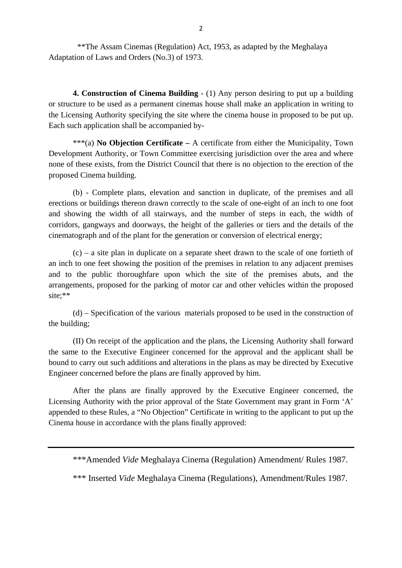\*\*The Assam Cinemas (Regulation) Act, 1953, as adapted by the Meghalaya Adaptation of Laws and Orders (No.3) of 1973.

**4. Construction of Cinema Building** - (1) Any person desiring to put up a building or structure to be used as a permanent cinemas house shall make an application in writing to the Licensing Authority specifying the site where the cinema house in proposed to be put up. Each such application shall be accompanied by-

\*\*\*(a) **No Objection Certificate –** A certificate from either the Municipality, Town Development Authority, or Town Committee exercising jurisdiction over the area and where none of these exists, from the District Council that there is no objection to the erection of the proposed Cinema building.

(b) - Complete plans, elevation and sanction in duplicate, of the premises and all erections or buildings thereon drawn correctly to the scale of one-eight of an inch to one foot and showing the width of all stairways, and the number of steps in each, the width of corridors, gangways and doorways, the height of the galleries or tiers and the details of the cinematograph and of the plant for the generation or conversion of electrical energy;

(c) – a site plan in duplicate on a separate sheet drawn to the scale of one fortieth of an inch to one feet showing the position of the premises in relation to any adjacent premises and to the public thoroughfare upon which the site of the premises abuts, and the arrangements, proposed for the parking of motor car and other vehicles within the proposed site;\*\*

(d) – Specification of the various materials proposed to be used in the construction of the building;

(II) On receipt of the application and the plans, the Licensing Authority shall forward the same to the Executive Engineer concerned for the approval and the applicant shall be bound to carry out such additions and alterations in the plans as may be directed by Executive Engineer concerned before the plans are finally approved by him.

After the plans are finally approved by the Executive Engineer concerned, the Licensing Authority with the prior approval of the State Government may grant in Form 'A' appended to these Rules, a "No Objection" Certificate in writing to the applicant to put up the Cinema house in accordance with the plans finally approved:

\*\*\*Amended *Vide* Meghalaya Cinema (Regulation) Amendment/ Rules 1987.

\*\*\* Inserted *Vide* Meghalaya Cinema (Regulations), Amendment/Rules 1987.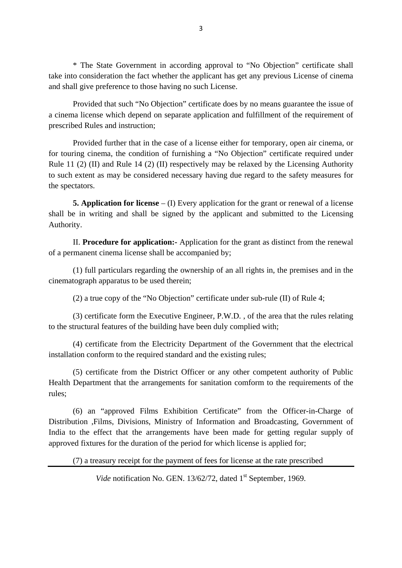\* The State Government in according approval to "No Objection" certificate shall take into consideration the fact whether the applicant has get any previous License of cinema and shall give preference to those having no such License.

Provided that such "No Objection" certificate does by no means guarantee the issue of a cinema license which depend on separate application and fulfillment of the requirement of prescribed Rules and instruction;

Provided further that in the case of a license either for temporary, open air cinema, or for touring cinema, the condition of furnishing a "No Objection" certificate required under Rule 11 (2) (II) and Rule 14 (2) (II) respectively may be relaxed by the Licensing Authority to such extent as may be considered necessary having due regard to the safety measures for the spectators.

**5. Application for license** – (I) Every application for the grant or renewal of a license shall be in writing and shall be signed by the applicant and submitted to the Licensing Authority.

II. **Procedure for application:-** Application for the grant as distinct from the renewal of a permanent cinema license shall be accompanied by;

(1) full particulars regarding the ownership of an all rights in, the premises and in the cinematograph apparatus to be used therein;

(2) a true copy of the "No Objection" certificate under sub-rule (II) of Rule 4;

(3) certificate form the Executive Engineer, P.W.D. , of the area that the rules relating to the structural features of the building have been duly complied with;

(4) certificate from the Electricity Department of the Government that the electrical installation conform to the required standard and the existing rules;

(5) certificate from the District Officer or any other competent authority of Public Health Department that the arrangements for sanitation comform to the requirements of the rules;

(6) an "approved Films Exhibition Certificate" from the Officer-in-Charge of Distribution ,Films, Divisions, Ministry of Information and Broadcasting, Government of India to the effect that the arrangements have been made for getting regular supply of approved fixtures for the duration of the period for which license is applied for;

(7) a treasury receipt for the payment of fees for license at the rate prescribed

*Vide* notification No. GEN. 13/62/72, dated 1<sup>st</sup> September, 1969.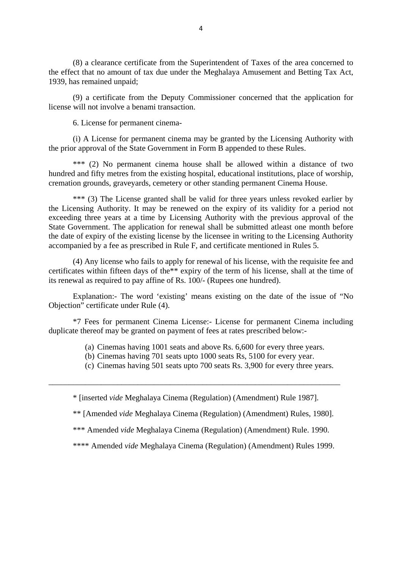(8) a clearance certificate from the Superintendent of Taxes of the area concerned to the effect that no amount of tax due under the Meghalaya Amusement and Betting Tax Act, 1939, has remained unpaid;

(9) a certificate from the Deputy Commissioner concerned that the application for license will not involve a benami transaction.

6. License for permanent cinema-

(i) A License for permanent cinema may be granted by the Licensing Authority with the prior approval of the State Government in Form B appended to these Rules.

\*\*\* (2) No permanent cinema house shall be allowed within a distance of two hundred and fifty metres from the existing hospital, educational institutions, place of worship, cremation grounds, graveyards, cemetery or other standing permanent Cinema House.

\*\*\* (3) The License granted shall be valid for three years unless revoked earlier by the Licensing Authority. It may be renewed on the expiry of its validity for a period not exceeding three years at a time by Licensing Authority with the previous approval of the State Government. The application for renewal shall be submitted atleast one month before the date of expiry of the existing license by the licensee in writing to the Licensing Authority accompanied by a fee as prescribed in Rule F, and certificate mentioned in Rules 5.

(4) Any license who fails to apply for renewal of his license, with the requisite fee and certificates within fifteen days of the\*\* expiry of the term of his license, shall at the time of its renewal as required to pay affine of Rs. 100/- (Rupees one hundred).

Explanation:- The word 'existing' means existing on the date of the issue of "No Objection" certificate under Rule (4).

\*7 Fees for permanent Cinema License:- License for permanent Cinema including duplicate thereof may be granted on payment of fees at rates prescribed below:-

- (a) Cinemas having 1001 seats and above Rs. 6,600 for every three years.
- (b) Cinemas having 701 seats upto 1000 seats Rs, 5100 for every year.
- (c) Cinemas having 501 seats upto 700 seats Rs. 3,900 for every three years.

\* [inserted *vide* Meghalaya Cinema (Regulation) (Amendment) Rule 1987].

\_\_\_\_\_\_\_\_\_\_\_\_\_\_\_\_\_\_\_\_\_\_\_\_\_\_\_\_\_\_\_\_\_\_\_\_\_\_\_\_\_\_\_\_\_\_\_\_\_\_\_\_\_\_\_\_\_\_\_\_\_\_\_\_\_\_\_\_\_\_\_\_

\*\* [Amended *vide* Meghalaya Cinema (Regulation) (Amendment) Rules, 1980].

\*\*\* Amended *vide* Meghalaya Cinema (Regulation) (Amendment) Rule. 1990.

\*\*\*\* Amended *vide* Meghalaya Cinema (Regulation) (Amendment) Rules 1999.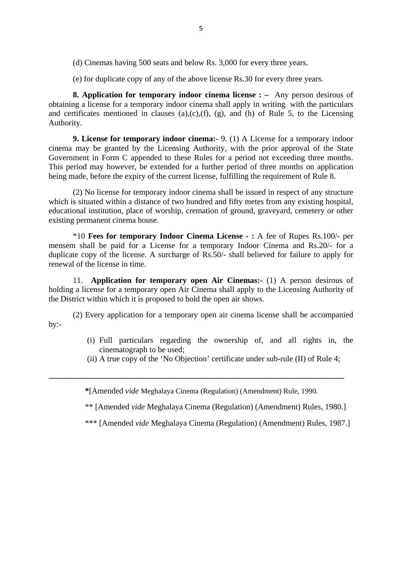- (d) Cinemas having 500 seats and below Rs. 3,000 for every three years.
- (e) for duplicate copy of any of the above license Rs.30 for every three years.

**8. Application for temporary indoor cinema license : –** Any person desirous of obtaining a license for a temporary indoor cinema shall apply in writing with the particulars and certificates mentioned in clauses (a),(c),(f), (g), and (h) of Rule 5, to the Licensing Authority.

**9. License for temporary indoor cinema:**- 9. (1) A License for a temporary indoor cinema may be granted by the Licensing Authority, with the prior approval of the State Government in Form C appended to these Rules for a period not exceeding three months. This period may however, be extended for a further period of three months on application being made, before the expiry of the current license, fulfilling the requirement of Rule 8.

(2) No license for temporary indoor cinema shall be issued in respect of any structure which is situated within a distance of two hundred and fifty metes from any existing hospital, educational institution, place of worship, cremation of ground, graveyard, cemetery or other existing permanent cinema house.

\*10 **Fees for temporary Indoor Cinema License - :** A fee of Rupes Rs.100/- per mensem shall be paid for a License for a temporary Indoor Cinema and Rs.20/- for a duplicate copy of the license. A surcharge of Rs.50/- shall believed for failure to apply for renewal of the license in time.

11. **Application for temporary open Air Cinemas:-** (1) A person desirous of holding a license for a temporary open Air Cinema shall apply to the Licensing Authority of the District within which it is proposed to hold the open air shows.

(2) Every application for a temporary open air cinema license shall be accompanied  $by:-$ 

- (i) Full particulars regarding the ownership of, and all rights in, the cinematograph to be used;
- (ii) A true copy of the 'No Objection' certificate under sub-rule (II) of Rule 4;

**\***[Amended *vide* Meghalaya Cinema (Regulation) (Amendment) Rule, 1990.

**\_\_\_\_\_\_\_\_\_\_\_\_\_\_\_\_\_\_\_\_\_\_\_\_\_\_\_\_\_\_\_\_\_\_\_\_\_\_\_\_\_\_\_\_\_\_\_\_\_\_\_\_\_\_\_\_\_\_\_\_\_\_\_\_\_\_\_\_\_\_\_\_\_**

\*\* [Amended *vide* Meghalaya Cinema (Regulation) (Amendment) Rules, 1980.]

\*\*\* [Amended *vide* Meghalaya Cinema (Regulation) (Amendment) Rules, 1987.]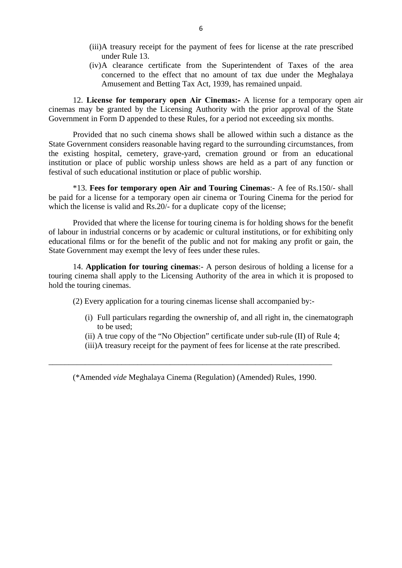- (iii)A treasury receipt for the payment of fees for license at the rate prescribed under Rule 13.
- (iv)A clearance certificate from the Superintendent of Taxes of the area concerned to the effect that no amount of tax due under the Meghalaya Amusement and Betting Tax Act, 1939, has remained unpaid.

12. **License for temporary open Air Cinemas:-** A license for a temporary open air cinemas may be granted by the Licensing Authority with the prior approval of the State Government in Form D appended to these Rules, for a period not exceeding six months.

Provided that no such cinema shows shall be allowed within such a distance as the State Government considers reasonable having regard to the surrounding circumstances, from the existing hospital, cemetery, grave-yard, cremation ground or from an educational institution or place of public worship unless shows are held as a part of any function or festival of such educational institution or place of public worship.

\*13. **Fees for temporary open Air and Touring Cinemas**:- A fee of Rs.150/- shall be paid for a license for a temporary open air cinema or Touring Cinema for the period for which the license is valid and Rs.20/- for a duplicate copy of the license;

Provided that where the license for touring cinema is for holding shows for the benefit of labour in industrial concerns or by academic or cultural institutions, or for exhibiting only educational films or for the benefit of the public and not for making any profit or gain, the State Government may exempt the levy of fees under these rules.

14. **Application for touring cinemas**:- A person desirous of holding a license for a touring cinema shall apply to the Licensing Authority of the area in which it is proposed to hold the touring cinemas.

(2) Every application for a touring cinemas license shall accompanied by:-

- (i) Full particulars regarding the ownership of, and all right in, the cinematograph to be used;
- (ii) A true copy of the "No Objection" certificate under sub-rule (II) of Rule 4;
- (iii)A treasury receipt for the payment of fees for license at the rate prescribed.

(\*Amended *vide* Meghalaya Cinema (Regulation) (Amended) Rules, 1990.

\_\_\_\_\_\_\_\_\_\_\_\_\_\_\_\_\_\_\_\_\_\_\_\_\_\_\_\_\_\_\_\_\_\_\_\_\_\_\_\_\_\_\_\_\_\_\_\_\_\_\_\_\_\_\_\_\_\_\_\_\_\_\_\_\_\_\_\_\_\_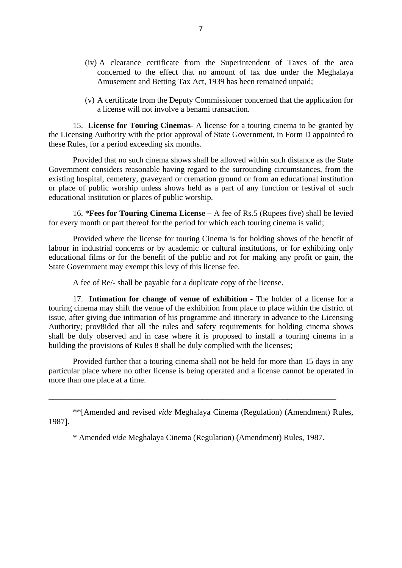- (iv) A clearance certificate from the Superintendent of Taxes of the area concerned to the effect that no amount of tax due under the Meghalaya Amusement and Betting Tax Act, 1939 has been remained unpaid;
- (v) A certificate from the Deputy Commissioner concerned that the application for a license will not involve a benami transaction.

15. **License for Touring Cinemas**- A license for a touring cinema to be granted by the Licensing Authority with the prior approval of State Government, in Form D appointed to these Rules, for a period exceeding six months.

Provided that no such cinema shows shall be allowed within such distance as the State Government considers reasonable having regard to the surrounding circumstances, from the existing hospital, cemetery, graveyard or cremation ground or from an educational institution or place of public worship unless shows held as a part of any function or festival of such educational institution or places of public worship.

16. \***Fees for Touring Cinema License –** A fee of Rs.5 (Rupees five) shall be levied for every month or part thereof for the period for which each touring cinema is valid;

Provided where the license for touring Cinema is for holding shows of the benefit of labour in industrial concerns or by academic or cultural institutions, or for exhibiting only educational films or for the benefit of the public and rot for making any profit or gain, the State Government may exempt this levy of this license fee.

A fee of Re/- shall be payable for a duplicate copy of the license.

17. **Intimation for change of venue of exhibition -** The holder of a license for a touring cinema may shift the venue of the exhibition from place to place within the district of issue, after giving due intimation of his programme and itinerary in advance to the Licensing Authority; prov8ided that all the rules and safety requirements for holding cinema shows shall be duly observed and in case where it is proposed to install a touring cinema in a building the provisions of Rules 8 shall be duly complied with the licenses;

Provided further that a touring cinema shall not be held for more than 15 days in any particular place where no other license is being operated and a license cannot be operated in more than one place at a time.

\*\*[Amended and revised *vide* Meghalaya Cinema (Regulation) (Amendment) Rules, 1987].

\_\_\_\_\_\_\_\_\_\_\_\_\_\_\_\_\_\_\_\_\_\_\_\_\_\_\_\_\_\_\_\_\_\_\_\_\_\_\_\_\_\_\_\_\_\_\_\_\_\_\_\_\_\_\_\_\_\_\_\_\_\_\_\_\_\_\_\_\_\_\_

\* Amended *vide* Meghalaya Cinema (Regulation) (Amendment) Rules, 1987.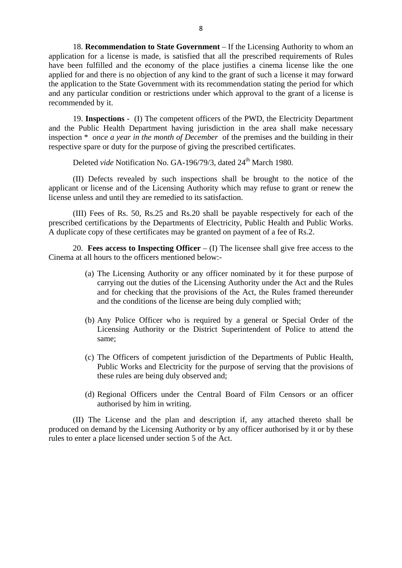18. **Recommendation to State Government** – If the Licensing Authority to whom an application for a license is made, is satisfied that all the prescribed requirements of Rules have been fulfilled and the economy of the place justifies a cinema license like the one applied for and there is no objection of any kind to the grant of such a license it may forward the application to the State Government with its recommendation stating the period for which and any particular condition or restrictions under which approval to the grant of a license is recommended by it.

19. **Inspections** - (I) The competent officers of the PWD, the Electricity Department and the Public Health Department having jurisdiction in the area shall make necessary inspection \* *once a year in the month of December* of the premises and the building in their respective spare or duty for the purpose of giving the prescribed certificates.

Deleted *vide* Notification No. GA-196/79/3, dated 24<sup>th</sup> March 1980.

(II) Defects revealed by such inspections shall be brought to the notice of the applicant or license and of the Licensing Authority which may refuse to grant or renew the license unless and until they are remedied to its satisfaction.

(III) Fees of Rs. 50, Rs.25 and Rs.20 shall be payable respectively for each of the prescribed certifications by the Departments of Electricity, Public Health and Public Works. A duplicate copy of these certificates may be granted on payment of a fee of Rs.2.

20. **Fees access to Inspecting Officer** – (I) The licensee shall give free access to the Cinema at all hours to the officers mentioned below:-

- (a) The Licensing Authority or any officer nominated by it for these purpose of carrying out the duties of the Licensing Authority under the Act and the Rules and for checking that the provisions of the Act, the Rules framed thereunder and the conditions of the license are being duly complied with;
- (b) Any Police Officer who is required by a general or Special Order of the Licensing Authority or the District Superintendent of Police to attend the same;
- (c) The Officers of competent jurisdiction of the Departments of Public Health, Public Works and Electricity for the purpose of serving that the provisions of these rules are being duly observed and;
- (d) Regional Officers under the Central Board of Film Censors or an officer authorised by him in writing.

(II) The License and the plan and description if, any attached thereto shall be produced on demand by the Licensing Authority or by any officer authorised by it or by these rules to enter a place licensed under section 5 of the Act.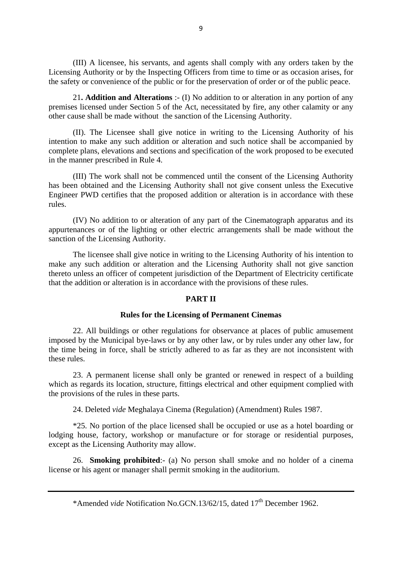(III) A licensee, his servants, and agents shall comply with any orders taken by the Licensing Authority or by the Inspecting Officers from time to time or as occasion arises, for the safety or convenience of the public or for the preservation of order or of the public peace.

21**. Addition and Alterations** :- (I) No addition to or alteration in any portion of any premises licensed under Section 5 of the Act, necessitated by fire, any other calamity or any other cause shall be made without the sanction of the Licensing Authority.

(II). The Licensee shall give notice in writing to the Licensing Authority of his intention to make any such addition or alteration and such notice shall be accompanied by complete plans, elevations and sections and specification of the work proposed to be executed in the manner prescribed in Rule 4.

(III) The work shall not be commenced until the consent of the Licensing Authority has been obtained and the Licensing Authority shall not give consent unless the Executive Engineer PWD certifies that the proposed addition or alteration is in accordance with these rules.

(IV) No addition to or alteration of any part of the Cinematograph apparatus and its appurtenances or of the lighting or other electric arrangements shall be made without the sanction of the Licensing Authority.

The licensee shall give notice in writing to the Licensing Authority of his intention to make any such addition or alteration and the Licensing Authority shall not give sanction thereto unless an officer of competent jurisdiction of the Department of Electricity certificate that the addition or alteration is in accordance with the provisions of these rules.

#### **PART II**

#### **Rules for the Licensing of Permanent Cinemas**

22. All buildings or other regulations for observance at places of public amusement imposed by the Municipal bye-laws or by any other law, or by rules under any other law, for the time being in force, shall be strictly adhered to as far as they are not inconsistent with these rules.

23. A permanent license shall only be granted or renewed in respect of a building which as regards its location, structure, fittings electrical and other equipment complied with the provisions of the rules in these parts.

24. Deleted *vide* Meghalaya Cinema (Regulation) (Amendment) Rules 1987.

\*25. No portion of the place licensed shall be occupied or use as a hotel boarding or lodging house, factory, workshop or manufacture or for storage or residential purposes, except as the Licensing Authority may allow.

26. **Smoking prohibited**:- (a) No person shall smoke and no holder of a cinema license or his agent or manager shall permit smoking in the auditorium.

\*Amended *vide* Notification No.GCN.13/62/15, dated 17th December 1962.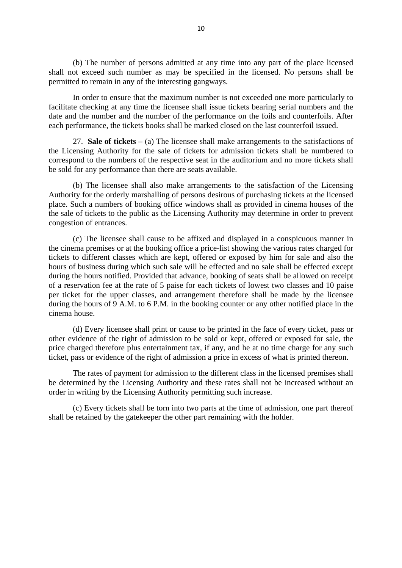(b) The number of persons admitted at any time into any part of the place licensed shall not exceed such number as may be specified in the licensed. No persons shall be permitted to remain in any of the interesting gangways.

In order to ensure that the maximum number is not exceeded one more particularly to facilitate checking at any time the licensee shall issue tickets bearing serial numbers and the date and the number and the number of the performance on the foils and counterfoils. After each performance, the tickets books shall be marked closed on the last counterfoil issued.

27. **Sale of tickets** – (a) The licensee shall make arrangements to the satisfactions of the Licensing Authority for the sale of tickets for admission tickets shall be numbered to correspond to the numbers of the respective seat in the auditorium and no more tickets shall be sold for any performance than there are seats available.

(b) The licensee shall also make arrangements to the satisfaction of the Licensing Authority for the orderly marshalling of persons desirous of purchasing tickets at the licensed place. Such a numbers of booking office windows shall as provided in cinema houses of the the sale of tickets to the public as the Licensing Authority may determine in order to prevent congestion of entrances.

(c) The licensee shall cause to be affixed and displayed in a conspicuous manner in the cinema premises or at the booking office a price-list showing the various rates charged for tickets to different classes which are kept, offered or exposed by him for sale and also the hours of business during which such sale will be effected and no sale shall be effected except during the hours notified. Provided that advance, booking of seats shall be allowed on receipt of a reservation fee at the rate of 5 paise for each tickets of lowest two classes and 10 paise per ticket for the upper classes, and arrangement therefore shall be made by the licensee during the hours of 9 A.M. to 6 P.M. in the booking counter or any other notified place in the cinema house.

(d) Every licensee shall print or cause to be printed in the face of every ticket, pass or other evidence of the right of admission to be sold or kept, offered or exposed for sale, the price charged therefore plus entertainment tax, if any, and he at no time charge for any such ticket, pass or evidence of the right of admission a price in excess of what is printed thereon.

The rates of payment for admission to the different class in the licensed premises shall be determined by the Licensing Authority and these rates shall not be increased without an order in writing by the Licensing Authority permitting such increase.

(c) Every tickets shall be torn into two parts at the time of admission, one part thereof shall be retained by the gatekeeper the other part remaining with the holder.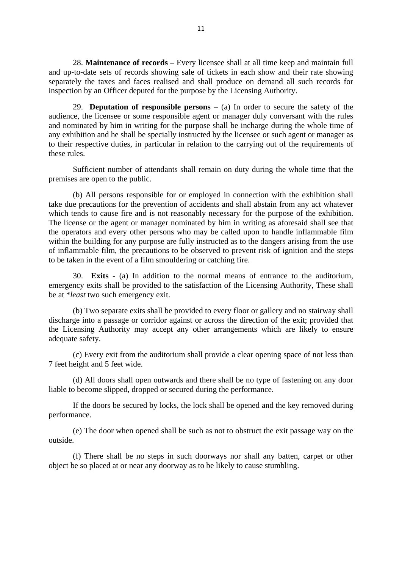28. **Maintenance of records** – Every licensee shall at all time keep and maintain full and up-to-date sets of records showing sale of tickets in each show and their rate showing separately the taxes and faces realised and shall produce on demand all such records for inspection by an Officer deputed for the purpose by the Licensing Authority.

29. **Deputation of responsible persons** – (a) In order to secure the safety of the audience, the licensee or some responsible agent or manager duly conversant with the rules and nominated by him in writing for the purpose shall be incharge during the whole time of any exhibition and he shall be specially instructed by the licensee or such agent or manager as to their respective duties, in particular in relation to the carrying out of the requirements of these rules.

Sufficient number of attendants shall remain on duty during the whole time that the premises are open to the public.

(b) All persons responsible for or employed in connection with the exhibition shall take due precautions for the prevention of accidents and shall abstain from any act whatever which tends to cause fire and is not reasonably necessary for the purpose of the exhibition. The license or the agent or manager nominated by him in writing as aforesaid shall see that the operators and every other persons who may be called upon to handle inflammable film within the building for any purpose are fully instructed as to the dangers arising from the use of inflammable film, the precautions to be observed to prevent risk of ignition and the steps to be taken in the event of a film smouldering or catching fire.

30. **Exits** - (a) In addition to the normal means of entrance to the auditorium, emergency exits shall be provided to the satisfaction of the Licensing Authority, These shall be at \**least* two such emergency exit.

(b) Two separate exits shall be provided to every floor or gallery and no stairway shall discharge into a passage or corridor against or across the direction of the exit; provided that the Licensing Authority may accept any other arrangements which are likely to ensure adequate safety.

(c) Every exit from the auditorium shall provide a clear opening space of not less than 7 feet height and 5 feet wide.

(d) All doors shall open outwards and there shall be no type of fastening on any door liable to become slipped, dropped or secured during the performance.

If the doors be secured by locks, the lock shall be opened and the key removed during performance.

(e) The door when opened shall be such as not to obstruct the exit passage way on the outside.

(f) There shall be no steps in such doorways nor shall any batten, carpet or other object be so placed at or near any doorway as to be likely to cause stumbling.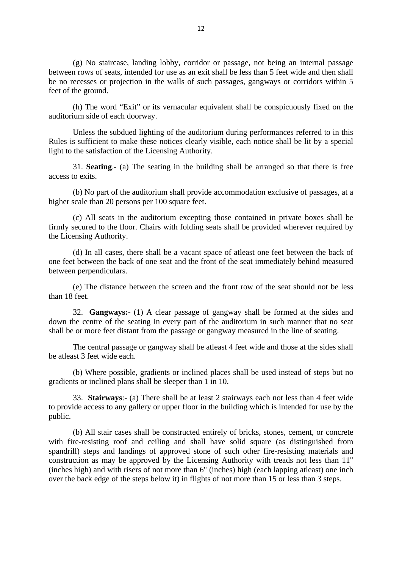(g) No staircase, landing lobby, corridor or passage, not being an internal passage between rows of seats, intended for use as an exit shall be less than 5 feet wide and then shall be no recesses or projection in the walls of such passages, gangways or corridors within 5 feet of the ground.

(h) The word "Exit" or its vernacular equivalent shall be conspicuously fixed on the auditorium side of each doorway.

Unless the subdued lighting of the auditorium during performances referred to in this Rules is sufficient to make these notices clearly visible, each notice shall be lit by a special light to the satisfaction of the Licensing Authority.

31. **Seating**.- (a) The seating in the building shall be arranged so that there is free access to exits.

(b) No part of the auditorium shall provide accommodation exclusive of passages, at a higher scale than 20 persons per 100 square feet.

(c) All seats in the auditorium excepting those contained in private boxes shall be firmly secured to the floor. Chairs with folding seats shall be provided wherever required by the Licensing Authority.

(d) In all cases, there shall be a vacant space of atleast one feet between the back of one feet between the back of one seat and the front of the seat immediately behind measured between perpendiculars.

(e) The distance between the screen and the front row of the seat should not be less than 18 feet.

32. **Gangways:**- (1) A clear passage of gangway shall be formed at the sides and down the centre of the seating in every part of the auditorium in such manner that no seat shall be or more feet distant from the passage or gangway measured in the line of seating.

The central passage or gangway shall be atleast 4 feet wide and those at the sides shall be atleast 3 feet wide each.

(b) Where possible, gradients or inclined places shall be used instead of steps but no gradients or inclined plans shall be sleeper than 1 in 10.

33. **Stairways**:- (a) There shall be at least 2 stairways each not less than 4 feet wide to provide access to any gallery or upper floor in the building which is intended for use by the public.

(b) All stair cases shall be constructed entirely of bricks, stones, cement, or concrete with fire-resisting roof and ceiling and shall have solid square (as distinguished from spandrill) steps and landings of approved stone of such other fire-resisting materials and construction as may be approved by the Licensing Authority with treads not less than 11" (inches high) and with risers of not more than 6" (inches) high (each lapping atleast) one inch over the back edge of the steps below it) in flights of not more than 15 or less than 3 steps.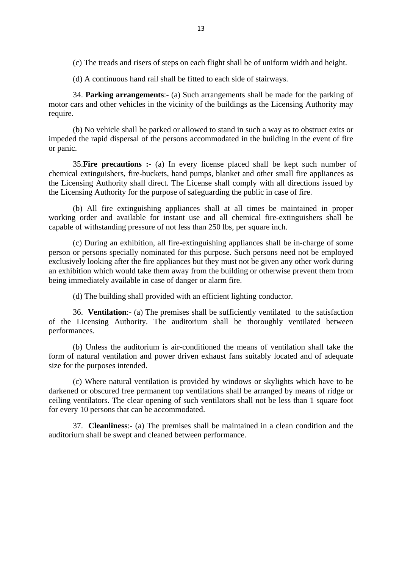(c) The treads and risers of steps on each flight shall be of uniform width and height.

(d) A continuous hand rail shall be fitted to each side of stairways.

34. **Parking arrangements**:- (a) Such arrangements shall be made for the parking of motor cars and other vehicles in the vicinity of the buildings as the Licensing Authority may require.

(b) No vehicle shall be parked or allowed to stand in such a way as to obstruct exits or impeded the rapid dispersal of the persons accommodated in the building in the event of fire or panic.

35.**Fire precautions :-** (a) In every license placed shall be kept such number of chemical extinguishers, fire-buckets, hand pumps, blanket and other small fire appliances as the Licensing Authority shall direct. The License shall comply with all directions issued by the Licensing Authority for the purpose of safeguarding the public in case of fire.

(b) All fire extinguishing appliances shall at all times be maintained in proper working order and available for instant use and all chemical fire-extinguishers shall be capable of withstanding pressure of not less than 250 lbs, per square inch.

(c) During an exhibition, all fire-extinguishing appliances shall be in-charge of some person or persons specially nominated for this purpose. Such persons need not be employed exclusively looking after the fire appliances but they must not be given any other work during an exhibition which would take them away from the building or otherwise prevent them from being immediately available in case of danger or alarm fire.

(d) The building shall provided with an efficient lighting conductor.

36. **Ventilation**:- (a) The premises shall be sufficiently ventilated to the satisfaction of the Licensing Authority. The auditorium shall be thoroughly ventilated between performances.

(b) Unless the auditorium is air-conditioned the means of ventilation shall take the form of natural ventilation and power driven exhaust fans suitably located and of adequate size for the purposes intended.

(c) Where natural ventilation is provided by windows or skylights which have to be darkened or obscured free permanent top ventilations shall be arranged by means of ridge or ceiling ventilators. The clear opening of such ventilators shall not be less than 1 square foot for every 10 persons that can be accommodated.

37. **Cleanliness**:- (a) The premises shall be maintained in a clean condition and the auditorium shall be swept and cleaned between performance.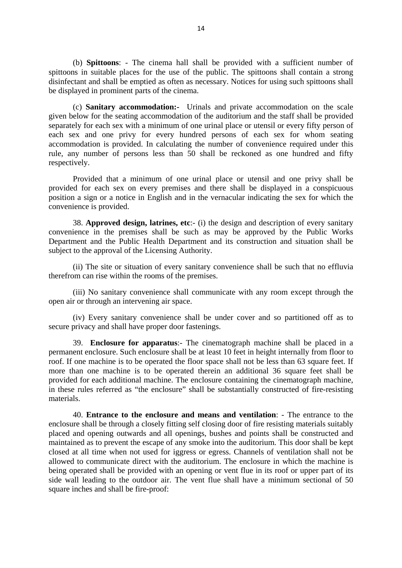(b) **Spittoons**: - The cinema hall shall be provided with a sufficient number of spittoons in suitable places for the use of the public. The spittoons shall contain a strong disinfectant and shall be emptied as often as necessary. Notices for using such spittoons shall be displayed in prominent parts of the cinema.

(c) **Sanitary accommodation:-** Urinals and private accommodation on the scale given below for the seating accommodation of the auditorium and the staff shall be provided separately for each sex with a minimum of one urinal place or utensil or every fifty person of each sex and one privy for every hundred persons of each sex for whom seating accommodation is provided. In calculating the number of convenience required under this rule, any number of persons less than 50 shall be reckoned as one hundred and fifty respectively.

Provided that a minimum of one urinal place or utensil and one privy shall be provided for each sex on every premises and there shall be displayed in a conspicuous position a sign or a notice in English and in the vernacular indicating the sex for which the convenience is provided.

38. **Approved design, latrines, etc**:- (i) the design and description of every sanitary convenience in the premises shall be such as may be approved by the Public Works Department and the Public Health Department and its construction and situation shall be subject to the approval of the Licensing Authority.

(ii) The site or situation of every sanitary convenience shall be such that no effluvia therefrom can rise within the rooms of the premises.

(iii) No sanitary convenience shall communicate with any room except through the open air or through an intervening air space.

(iv) Every sanitary convenience shall be under cover and so partitioned off as to secure privacy and shall have proper door fastenings.

39. **Enclosure for apparatus**:- The cinematograph machine shall be placed in a permanent enclosure. Such enclosure shall be at least 10 feet in height internally from floor to roof. If one machine is to be operated the floor space shall not be less than 63 square feet. If more than one machine is to be operated therein an additional 36 square feet shall be provided for each additional machine. The enclosure containing the cinematograph machine, in these rules referred as "the enclosure" shall be substantially constructed of fire-resisting materials.

40. **Entrance to the enclosure and means and ventilation**: - The entrance to the enclosure shall be through a closely fitting self closing door of fire resisting materials suitably placed and opening outwards and all openings, bushes and points shall be constructed and maintained as to prevent the escape of any smoke into the auditorium. This door shall be kept closed at all time when not used for iggress or egress. Channels of ventilation shall not be allowed to communicate direct with the auditorium. The enclosure in which the machine is being operated shall be provided with an opening or vent flue in its roof or upper part of its side wall leading to the outdoor air. The vent flue shall have a minimum sectional of 50 square inches and shall be fire-proof: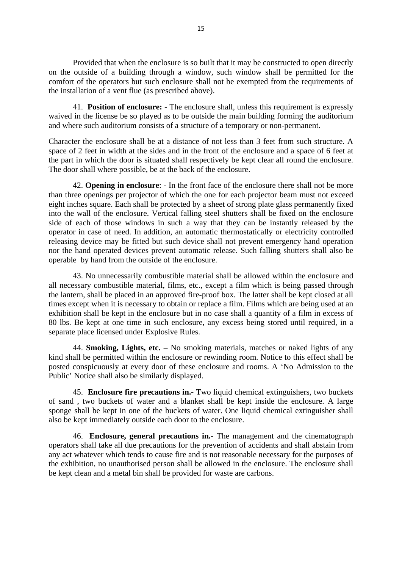Provided that when the enclosure is so built that it may be constructed to open directly on the outside of a building through a window, such window shall be permitted for the comfort of the operators but such enclosure shall not be exempted from the requirements of the installation of a vent flue (as prescribed above).

41. **Position of enclosure:** - The enclosure shall, unless this requirement is expressly waived in the license be so played as to be outside the main building forming the auditorium and where such auditorium consists of a structure of a temporary or non-permanent.

Character the enclosure shall be at a distance of not less than 3 feet from such structure. A space of 2 feet in width at the sides and in the front of the enclosure and a space of 6 feet at the part in which the door is situated shall respectively be kept clear all round the enclosure. The door shall where possible, be at the back of the enclosure.

42. **Opening in enclosure**: - In the front face of the enclosure there shall not be more than three openings per projector of which the one for each projector beam must not exceed eight inches square. Each shall be protected by a sheet of strong plate glass permanently fixed into the wall of the enclosure. Vertical falling steel shutters shall be fixed on the enclosure side of each of those windows in such a way that they can be instantly released by the operator in case of need. In addition, an automatic thermostatically or electricity controlled releasing device may be fitted but such device shall not prevent emergency hand operation nor the hand operated devices prevent automatic release. Such falling shutters shall also be operable by hand from the outside of the enclosure.

43. No unnecessarily combustible material shall be allowed within the enclosure and all necessary combustible material, films, etc., except a film which is being passed through the lantern, shall be placed in an approved fire-proof box. The latter shall be kept closed at all times except when it is necessary to obtain or replace a film. Films which are being used at an exhibition shall be kept in the enclosure but in no case shall a quantity of a film in excess of 80 lbs. Be kept at one time in such enclosure, any excess being stored until required, in a separate place licensed under Explosive Rules.

44. **Smoking, Lights, etc.** – No smoking materials, matches or naked lights of any kind shall be permitted within the enclosure or rewinding room. Notice to this effect shall be posted conspicuously at every door of these enclosure and rooms. A 'No Admission to the Public' Notice shall also be similarly displayed.

45. **Enclosure fire precautions in.**- Two liquid chemical extinguishers, two buckets of sand , two buckets of water and a blanket shall be kept inside the enclosure. A large sponge shall be kept in one of the buckets of water. One liquid chemical extinguisher shall also be kept immediately outside each door to the enclosure.

46. **Enclosure, general precautions in.**- The management and the cinematograph operators shall take all due precautions for the prevention of accidents and shall abstain from any act whatever which tends to cause fire and is not reasonable necessary for the purposes of the exhibition, no unauthorised person shall be allowed in the enclosure. The enclosure shall be kept clean and a metal bin shall be provided for waste are carbons.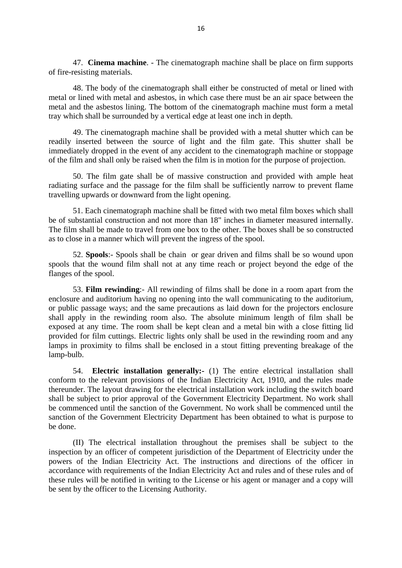47. **Cinema machine**. - The cinematograph machine shall be place on firm supports of fire-resisting materials.

48. The body of the cinematograph shall either be constructed of metal or lined with metal or lined with metal and asbestos, in which case there must be an air space between the metal and the asbestos lining. The bottom of the cinematograph machine must form a metal tray which shall be surrounded by a vertical edge at least one inch in depth.

49. The cinematograph machine shall be provided with a metal shutter which can be readily inserted between the source of light and the film gate. This shutter shall be immediately dropped in the event of any accident to the cinematograph machine or stoppage of the film and shall only be raised when the film is in motion for the purpose of projection.

50. The film gate shall be of massive construction and provided with ample heat radiating surface and the passage for the film shall be sufficiently narrow to prevent flame travelling upwards or downward from the light opening.

51. Each cinematograph machine shall be fitted with two metal film boxes which shall be of substantial construction and not more than 18" inches in diameter measured internally. The film shall be made to travel from one box to the other. The boxes shall be so constructed as to close in a manner which will prevent the ingress of the spool.

52. **Spools**:- Spools shall be chain or gear driven and films shall be so wound upon spools that the wound film shall not at any time reach or project beyond the edge of the flanges of the spool.

53. **Film rewinding**:- All rewinding of films shall be done in a room apart from the enclosure and auditorium having no opening into the wall communicating to the auditorium, or public passage ways; and the same precautions as laid down for the projectors enclosure shall apply in the rewinding room also. The absolute minimum length of film shall be exposed at any time. The room shall be kept clean and a metal bin with a close fitting lid provided for film cuttings. Electric lights only shall be used in the rewinding room and any lamps in proximity to films shall be enclosed in a stout fitting preventing breakage of the lamp-bulb.

54. **Electric installation generally:-** (1) The entire electrical installation shall conform to the relevant provisions of the Indian Electricity Act, 1910, and the rules made thereunder. The layout drawing for the electrical installation work including the switch board shall be subject to prior approval of the Government Electricity Department. No work shall be commenced until the sanction of the Government. No work shall be commenced until the sanction of the Government Electricity Department has been obtained to what is purpose to be done.

(II) The electrical installation throughout the premises shall be subject to the inspection by an officer of competent jurisdiction of the Department of Electricity under the powers of the Indian Electricity Act. The instructions and directions of the officer in accordance with requirements of the Indian Electricity Act and rules and of these rules and of these rules will be notified in writing to the License or his agent or manager and a copy will be sent by the officer to the Licensing Authority.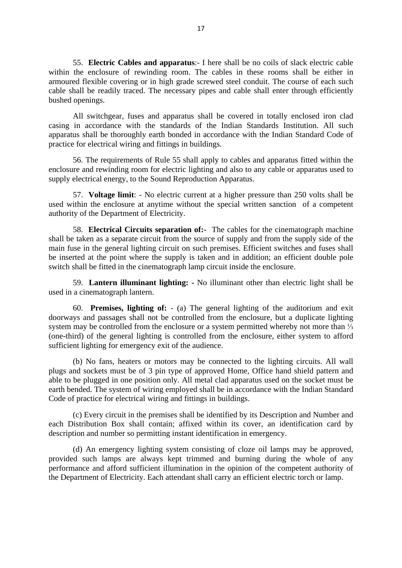55. **Electric Cables and apparatus**:- I here shall be no coils of slack electric cable within the enclosure of rewinding room. The cables in these rooms shall be either in armoured flexible covering or in high grade screwed steel conduit. The course of each such cable shall be readily traced. The necessary pipes and cable shall enter through efficiently bushed openings.

All switchgear, fuses and apparatus shall be covered in totally enclosed iron clad casing in accordance with the standards of the Indian Standards Institution. All such apparatus shall be thoroughly earth bonded in accordance with the Indian Standard Code of practice for electrical wiring and fittings in buildings.

56. The requirements of Rule 55 shall apply to cables and apparatus fitted within the enclosure and rewinding room for electric lighting and also to any cable or apparatus used to supply electrical energy, to the Sound Reproduction Apparatus.

57. **Voltage limit**: - No electric current at a higher pressure than 250 volts shall be used within the enclosure at anytime without the special written sanction of a competent authority of the Department of Electricity.

58. **Electrical Circuits separation of:-** The cables for the cinematograph machine shall be taken as a separate circuit from the source of supply and from the supply side of the main fuse in the general lighting circuit on such premises. Efficient switches and fuses shall be inserted at the point where the supply is taken and in addition; an efficient double pole switch shall be fitted in the cinematograph lamp circuit inside the enclosure.

59. **Lantern illuminant lighting: -** No illuminant other than electric light shall be used in a cinematograph lantern.

60. **Premises, lighting of:** - (a) The general lighting of the auditorium and exit doorways and passages shall not be controlled from the enclosure, but a duplicate lighting system may be controlled from the enclosure or a system permitted whereby not more than <sup>1</sup>/<sub>3</sub> (one-third) of the general lighting is controlled from the enclosure, either system to afford sufficient lighting for emergency exit of the audience.

(b) No fans, heaters or motors may be connected to the lighting circuits. All wall plugs and sockets must be of 3 pin type of approved Home, Office hand shield pattern and able to be plugged in one position only. All metal clad apparatus used on the socket must be earth bended. The system of wiring employed shall be in accordance with the Indian Standard Code of practice for electrical wiring and fittings in buildings.

(c) Every circuit in the premises shall be identified by its Description and Number and each Distribution Box shall contain; affixed within its cover, an identification card by description and number so permitting instant identification in emergency.

(d) An emergency lighting system consisting of cloze oil lamps may be approved, provided such lamps are always kept trimmed and burning during the whole of any performance and afford sufficient illumination in the opinion of the competent authority of the Department of Electricity. Each attendant shall carry an efficient electric torch or lamp.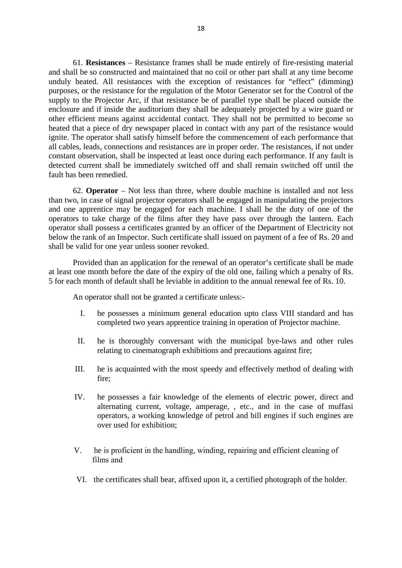61. **Resistances** – Resistance frames shall be made entirely of fire-resisting material and shall be so constructed and maintained that no coil or other part shall at any time become unduly heated. All resistances with the exception of resistances for "effect" (dimming) purposes, or the resistance for the regulation of the Motor Generator set for the Control of the supply to the Projector Arc, if that resistance be of parallel type shall be placed outside the enclosure and if inside the auditorium they shall be adequately projected by a wire guard or other efficient means against accidental contact. They shall not be permitted to become so heated that a piece of dry newspaper placed in contact with any part of the resistance would ignite. The operator shall satisfy himself before the commencement of each performance that all cables, leads, connections and resistances are in proper order. The resistances, if not under constant observation, shall be inspected at least once during each performance. If any fault is detected current shall be immediately switched off and shall remain switched off until the fault has been remedied.

62. **Operator** – Not less than three, where double machine is installed and not less than two, in case of signal projector operators shall be engaged in manipulating the projectors and one apprentice may be engaged for each machine. I shall be the duty of one of the operators to take charge of the films after they have pass over through the lantern. Each operator shall possess a certificates granted by an officer of the Department of Electricity not below the rank of an Inspector. Such certificate shall issued on payment of a fee of Rs. 20 and shall be valid for one year unless sooner revoked.

Provided than an application for the renewal of an operator's certificate shall be made at least one month before the date of the expiry of the old one, failing which a penalty of Rs. 5 for each month of default shall be leviable in addition to the annual renewal fee of Rs. 10.

An operator shall not be granted a certificate unless:-

- I. he possesses a minimum general education upto class VIII standard and has completed two years apprentice training in operation of Projector machine.
- II. he is thoroughly conversant with the municipal bye-laws and other rules relating to cinematograph exhibitions and precautions against fire;
- III. he is acquainted with the most speedy and effectively method of dealing with fire;
- IV. he possesses a fair knowledge of the elements of electric power, direct and alternating current, voltage, amperage, , etc., and in the case of muffasi operators, a working knowledge of petrol and bill engines if such engines are over used for exhibition;
- V. he is proficient in the handling, winding, repairing and efficient cleaning of films and
- VI. the certificates shall bear, affixed upon it, a certified photograph of the holder.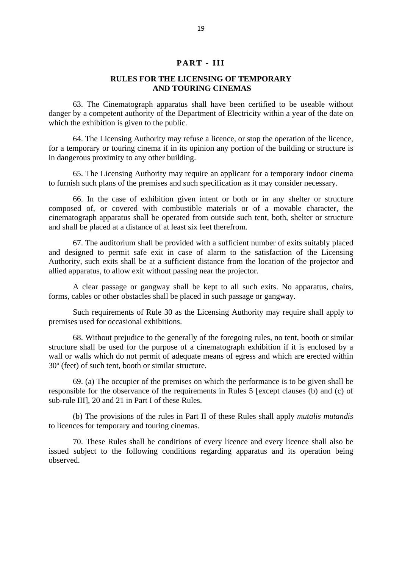## **PART - III**

# **RULES FOR THE LICENSING OF TEMPORARY AND TOURING CINEMAS**

63. The Cinematograph apparatus shall have been certified to be useable without danger by a competent authority of the Department of Electricity within a year of the date on which the exhibition is given to the public.

64. The Licensing Authority may refuse a licence, or stop the operation of the licence, for a temporary or touring cinema if in its opinion any portion of the building or structure is in dangerous proximity to any other building.

65. The Licensing Authority may require an applicant for a temporary indoor cinema to furnish such plans of the premises and such specification as it may consider necessary.

66. In the case of exhibition given intent or both or in any shelter or structure composed of, or covered with combustible materials or of a movable character, the cinematograph apparatus shall be operated from outside such tent, both, shelter or structure and shall be placed at a distance of at least six feet therefrom.

67. The auditorium shall be provided with a sufficient number of exits suitably placed and designed to permit safe exit in case of alarm to the satisfaction of the Licensing Authority, such exits shall be at a sufficient distance from the location of the projector and allied apparatus, to allow exit without passing near the projector.

A clear passage or gangway shall be kept to all such exits. No apparatus, chairs, forms, cables or other obstacles shall be placed in such passage or gangway.

Such requirements of Rule 30 as the Licensing Authority may require shall apply to premises used for occasional exhibitions.

68. Without prejudice to the generally of the foregoing rules, no tent, booth or similar structure shall be used for the purpose of a cinematograph exhibition if it is enclosed by a wall or walls which do not permit of adequate means of egress and which are erected within 30º (feet) of such tent, booth or similar structure.

69. (a) The occupier of the premises on which the performance is to be given shall be responsible for the observance of the requirements in Rules 5 [except clauses (b) and (c) of sub-rule III], 20 and 21 in Part I of these Rules.

(b) The provisions of the rules in Part II of these Rules shall apply *mutalis mutandis* to licences for temporary and touring cinemas.

70. These Rules shall be conditions of every licence and every licence shall also be issued subject to the following conditions regarding apparatus and its operation being observed.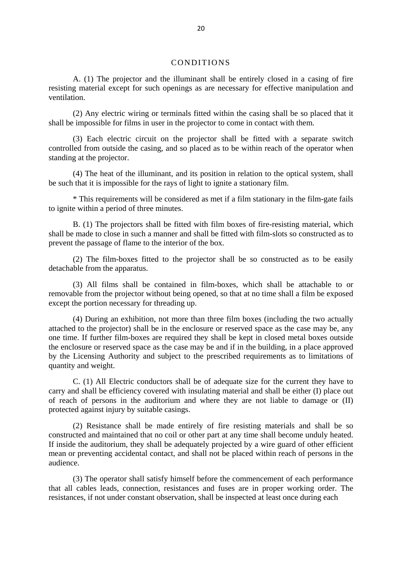#### CONDITIONS

A. (1) The projector and the illuminant shall be entirely closed in a casing of fire resisting material except for such openings as are necessary for effective manipulation and ventilation.

(2) Any electric wiring or terminals fitted within the casing shall be so placed that it shall be impossible for films in user in the projector to come in contact with them.

(3) Each electric circuit on the projector shall be fitted with a separate switch controlled from outside the casing, and so placed as to be within reach of the operator when standing at the projector.

(4) The heat of the illuminant, and its position in relation to the optical system, shall be such that it is impossible for the rays of light to ignite a stationary film.

\* This requirements will be considered as met if a film stationary in the film-gate fails to ignite within a period of three minutes.

B. (1) The projectors shall be fitted with film boxes of fire-resisting material, which shall be made to close in such a manner and shall be fitted with film-slots so constructed as to prevent the passage of flame to the interior of the box.

(2) The film-boxes fitted to the projector shall be so constructed as to be easily detachable from the apparatus.

(3) All films shall be contained in film-boxes, which shall be attachable to or removable from the projector without being opened, so that at no time shall a film be exposed except the portion necessary for threading up.

(4) During an exhibition, not more than three film boxes (including the two actually attached to the projector) shall be in the enclosure or reserved space as the case may be, any one time. If further film-boxes are required they shall be kept in closed metal boxes outside the enclosure or reserved space as the case may be and if in the building, in a place approved by the Licensing Authority and subject to the prescribed requirements as to limitations of quantity and weight.

C. (1) All Electric conductors shall be of adequate size for the current they have to carry and shall be efficiency covered with insulating material and shall be either (I) place out of reach of persons in the auditorium and where they are not liable to damage or (II) protected against injury by suitable casings.

(2) Resistance shall be made entirely of fire resisting materials and shall be so constructed and maintained that no coil or other part at any time shall become unduly heated. If inside the auditorium, they shall be adequately projected by a wire guard of other efficient mean or preventing accidental contact, and shall not be placed within reach of persons in the audience.

(3) The operator shall satisfy himself before the commencement of each performance that all cables leads, connection, resistances and fuses are in proper working order. The resistances, if not under constant observation, shall be inspected at least once during each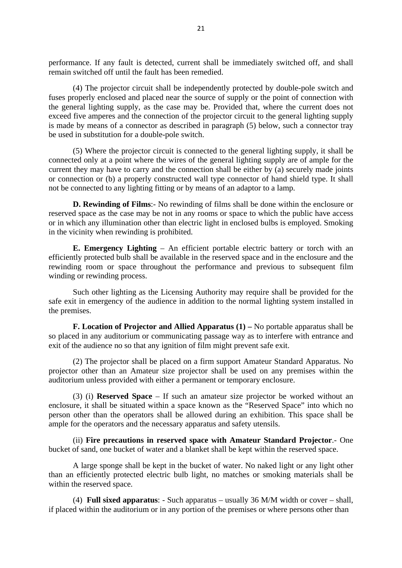performance. If any fault is detected, current shall be immediately switched off, and shall remain switched off until the fault has been remedied.

(4) The projector circuit shall be independently protected by double-pole switch and fuses properly enclosed and placed near the source of supply or the point of connection with the general lighting supply, as the case may be. Provided that, where the current does not exceed five amperes and the connection of the projector circuit to the general lighting supply is made by means of a connector as described in paragraph (5) below, such a connector tray be used in substitution for a double-pole switch.

(5) Where the projector circuit is connected to the general lighting supply, it shall be connected only at a point where the wires of the general lighting supply are of ample for the current they may have to carry and the connection shall be either by (a) securely made joints or connection or (b) a properly constructed wall type connector of hand shield type. It shall not be connected to any lighting fitting or by means of an adaptor to a lamp.

**D. Rewinding of Films**:- No rewinding of films shall be done within the enclosure or reserved space as the case may be not in any rooms or space to which the public have access or in which any illumination other than electric light in enclosed bulbs is employed. Smoking in the vicinity when rewinding is prohibited.

**E. Emergency Lighting** – An efficient portable electric battery or torch with an efficiently protected bulb shall be available in the reserved space and in the enclosure and the rewinding room or space throughout the performance and previous to subsequent film winding or rewinding process.

Such other lighting as the Licensing Authority may require shall be provided for the safe exit in emergency of the audience in addition to the normal lighting system installed in the premises.

**F. Location of Projector and Allied Apparatus (1) –** No portable apparatus shall be so placed in any auditorium or communicating passage way as to interfere with entrance and exit of the audience no so that any ignition of film might prevent safe exit.

(2) The projector shall be placed on a firm support Amateur Standard Apparatus. No projector other than an Amateur size projector shall be used on any premises within the auditorium unless provided with either a permanent or temporary enclosure.

(3) (i) **Reserved Space** – If such an amateur size projector be worked without an enclosure, it shall be situated within a space known as the "Reserved Space" into which no person other than the operators shall be allowed during an exhibition. This space shall be ample for the operators and the necessary apparatus and safety utensils.

(ii) **Fire precautions in reserved space with Amateur Standard Projector**.- One bucket of sand, one bucket of water and a blanket shall be kept within the reserved space.

A large sponge shall be kept in the bucket of water. No naked light or any light other than an efficiently protected electric bulb light, no matches or smoking materials shall be within the reserved space.

(4) **Full sixed apparatus**: - Such apparatus – usually 36 M/M width or cover – shall, if placed within the auditorium or in any portion of the premises or where persons other than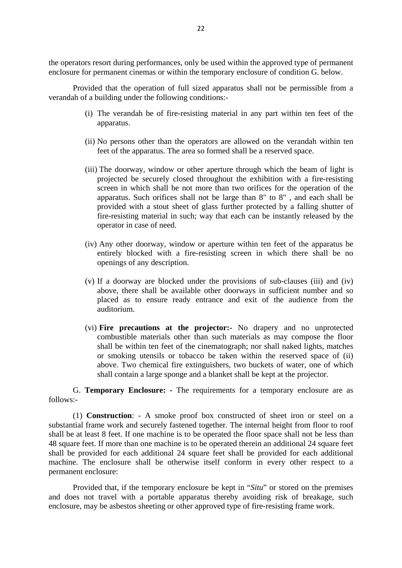the operators resort during performances, only be used within the approved type of permanent enclosure for permanent cinemas or within the temporary enclosure of condition G. below.

Provided that the operation of full sized apparatus shall not be permissible from a verandah of a building under the following conditions:-

- (i) The verandah be of fire-resisting material in any part within ten feet of the apparatus.
- (ii) No persons other than the operators are allowed on the verandah within ten feet of the apparatus. The area so formed shall be a reserved space.
- (iii) The doorway, window or other aperture through which the beam of light is projected be securely closed throughout the exhibition with a fire-resisting screen in which shall be not more than two orifices for the operation of the apparatus. Such orifices shall not be large than 8" to 8" , and each shall be provided with a stout sheet of glass further protected by a falling shutter of fire-resisting material in such; way that each can be instantly released by the operator in case of need.
- (iv) Any other doorway, window or aperture within ten feet of the apparatus be entirely blocked with a fire-resisting screen in which there shall be no openings of any description.
- (v) If a doorway are blocked under the provisions of sub-clauses (iii) and (iv) above, there shall be available other doorways in sufficient number and so placed as to ensure ready entrance and exit of the audience from the auditorium.
- (vi) **Fire precautions at the projector:-** No drapery and no unprotected combustible materials other than such materials as may compose the floor shall be within ten feet of the cinematograph; nor shall naked lights, matches or smoking utensils or tobacco be taken within the reserved space of (ii) above. Two chemical fire extinguishers, two buckets of water, one of which shall contain a large sponge and a blanket shall be kept at the projector.

G. **Temporary Enclosure: -** The requirements for a temporary enclosure are as follows:-

(1) **Construction**: - A smoke proof box constructed of sheet iron or steel on a substantial frame work and securely fastened together. The internal height from floor to roof shall be at least 8 feet. If one machine is to be operated the floor space shall not be less than 48 square feet. If more than one machine is to be operated therein an additional 24 square feet shall be provided for each additional 24 square feet shall be provided for each additional machine. The enclosure shall be otherwise itself conform in every other respect to a permanent enclosure:

Provided that, if the temporary enclosure be kept in "*Situ*" or stored on the premises and does not travel with a portable apparatus thereby avoiding risk of breakage, such enclosure, may be asbestos sheeting or other approved type of fire-resisting frame work.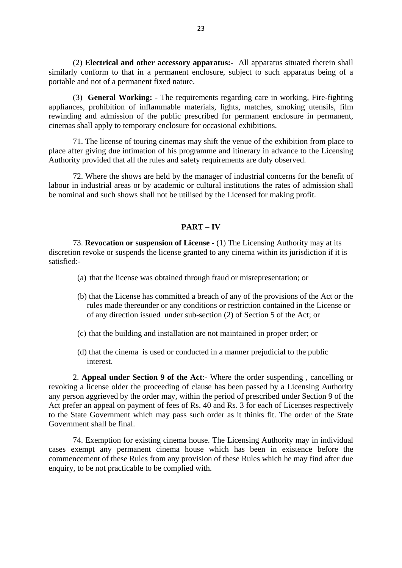(2) **Electrical and other accessory apparatus:-** All apparatus situated therein shall similarly conform to that in a permanent enclosure, subject to such apparatus being of a portable and not of a permanent fixed nature.

(3) **General Working: -** The requirements regarding care in working, Fire-fighting appliances, prohibition of inflammable materials, lights, matches, smoking utensils, film rewinding and admission of the public prescribed for permanent enclosure in permanent, cinemas shall apply to temporary enclosure for occasional exhibitions.

71. The license of touring cinemas may shift the venue of the exhibition from place to place after giving due intimation of his programme and itinerary in advance to the Licensing Authority provided that all the rules and safety requirements are duly observed.

72. Where the shows are held by the manager of industrial concerns for the benefit of labour in industrial areas or by academic or cultural institutions the rates of admission shall be nominal and such shows shall not be utilised by the Licensed for making profit.

# **PART – IV**

73. **Revocation or suspension of License -** (1) The Licensing Authority may at its discretion revoke or suspends the license granted to any cinema within its jurisdiction if it is satisfied:-

- (a) that the license was obtained through fraud or misrepresentation; or
- (b) that the License has committed a breach of any of the provisions of the Act or the rules made thereunder or any conditions or restriction contained in the License or of any direction issued under sub-section (2) of Section 5 of the Act; or
- (c) that the building and installation are not maintained in proper order; or
- (d) that the cinema is used or conducted in a manner prejudicial to the public interest.

2. **Appeal under Section 9 of the Act**:- Where the order suspending , cancelling or revoking a license older the proceeding of clause has been passed by a Licensing Authority any person aggrieved by the order may, within the period of prescribed under Section 9 of the Act prefer an appeal on payment of fees of Rs. 40 and Rs. 3 for each of Licenses respectively to the State Government which may pass such order as it thinks fit. The order of the State Government shall be final.

74. Exemption for existing cinema house. The Licensing Authority may in individual cases exempt any permanent cinema house which has been in existence before the commencement of these Rules from any provision of these Rules which he may find after due enquiry, to be not practicable to be complied with.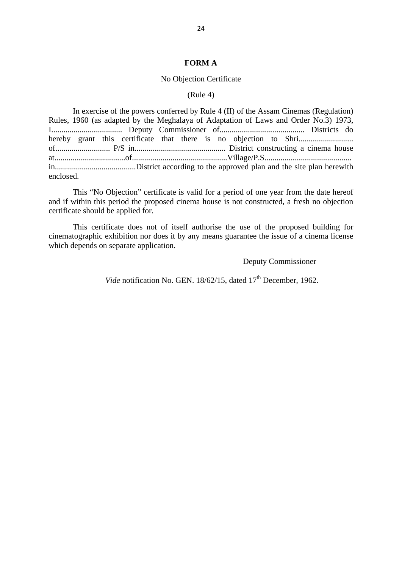#### **FORM A**

#### No Objection Certificate

#### (Rule 4)

In exercise of the powers conferred by Rule 4 (II) of the Assam Cinemas (Regulation) Rules, 1960 (as adapted by the Meghalaya of Adaptation of Laws and Order No.3) 1973, I................................... Deputy Commissioner of.......................................... Districts do hereby grant this certificate that there is no objection to Shri........................... of........................... P/S in............................................. District constructing a cinema house at...................................of...............................................Village/P.S........................................... in........................................District according to the approved plan and the site plan herewith enclosed.

This "No Objection" certificate is valid for a period of one year from the date hereof and if within this period the proposed cinema house is not constructed, a fresh no objection certificate should be applied for.

This certificate does not of itself authorise the use of the proposed building for cinematographic exhibition nor does it by any means guarantee the issue of a cinema license which depends on separate application.

Deputy Commissioner

*Vide* notification No. GEN. 18/62/15, dated 17<sup>th</sup> December, 1962.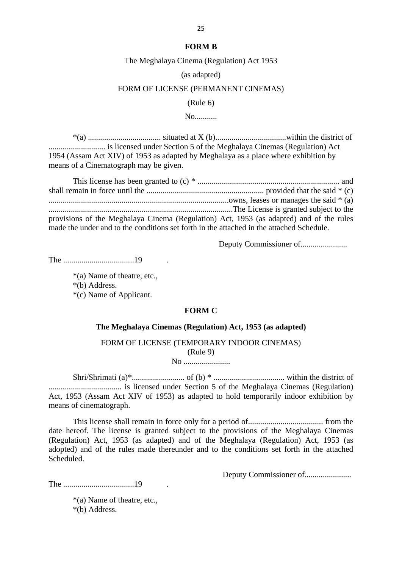#### **FORM B**

The Meghalaya Cinema (Regulation) Act 1953

(as adapted)

#### FORM OF LICENSE (PERMANENT CINEMAS)

(Rule 6)

No...........

\*(a) .................................... situated at X (b)...................................within the district of ............................ is licensed under Section 5 of the Meghalaya Cinemas (Regulation) Act 1954 (Assam Act XIV) of 1953 as adapted by Meghalaya as a place where exhibition by means of a Cinematograph may be given.

This license has been granted to (c) \* ...................................................................... and shall remain in force until the .......................................................... provided that the said \* (c) .........................................................................................owns, leases or manages the said \* (a) ...........................................................................................The License is granted subject to the provisions of the Meghalaya Cinema (Regulation) Act, 1953 (as adapted) and of the rules made the under and to the conditions set forth in the attached in the attached Schedule.

Deputy Commissioner of.......................

The ...................................19 .

\*(a) Name of theatre, etc.,

\*(b) Address.

\*(c) Name of Applicant.

#### **FORM C**

#### **The Meghalaya Cinemas (Regulation) Act, 1953 (as adapted)**

# FORM OF LICENSE (TEMPORARY INDOOR CINEMAS) (Rule 9)

No .......................

Shri/Shrimati (a)\*.......................... of (b) \* ................................... within the district of .................................... is licensed under Section 5 of the Meghalaya Cinemas (Regulation) Act, 1953 (Assam Act XIV of 1953) as adapted to hold temporarily indoor exhibition by means of cinematograph.

This license shall remain in force only for a period of..................................... from the date hereof. The license is granted subject to the provisions of the Meghalaya Cinemas (Regulation) Act, 1953 (as adapted) and of the Meghalaya (Regulation) Act, 1953 (as adopted) and of the rules made thereunder and to the conditions set forth in the attached Scheduled.

Deputy Commissioner of.......................

The ...................................19 .

\*(a) Name of theatre, etc., \*(b) Address.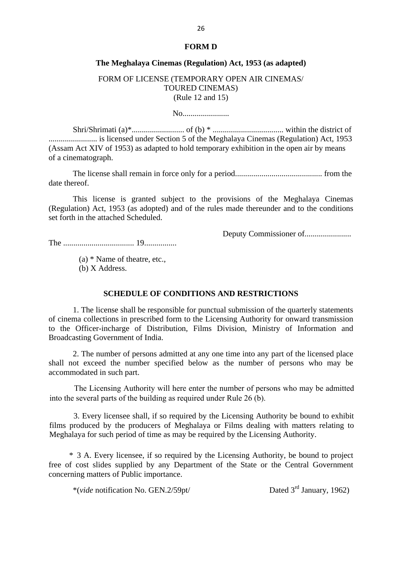#### **FORM D**

#### **The Meghalaya Cinemas (Regulation) Act, 1953 (as adapted)**

FORM OF LICENSE (TEMPORARY OPEN AIR CINEMAS/ TOURED CINEMAS) (Rule 12 and 15)

No.......................

Shri/Shrimati (a)\*.......................... of (b) \* ................................... within the district of ........................ is licensed under Section 5 of the Meghalaya Cinemas (Regulation) Act, 1953 (Assam Act XIV of 1953) as adapted to hold temporary exhibition in the open air by means of a cinematograph.

The license shall remain in force only for a period........................................... from the date thereof.

This license is granted subject to the provisions of the Meghalaya Cinemas (Regulation) Act, 1953 (as adopted) and of the rules made thereunder and to the conditions set forth in the attached Scheduled.

Deputy Commissioner of.......................

The ................................... 19................

 (a) \* Name of theatre, etc., (b) X Address.

# **SCHEDULE OF CONDITIONS AND RESTRICTIONS**

1. The license shall be responsible for punctual submission of the quarterly statements of cinema collections in prescribed form to the Licensing Authority for onward transmission to the Officer-incharge of Distribution, Films Division, Ministry of Information and Broadcasting Government of India.

2. The number of persons admitted at any one time into any part of the licensed place shall not exceed the number specified below as the number of persons who may be accommodated in such part.

 The Licensing Authority will here enter the number of persons who may be admitted into the several parts of the building as required under Rule 26 (b).

3. Every licensee shall, if so required by the Licensing Authority be bound to exhibit films produced by the producers of Meghalaya or Films dealing with matters relating to Meghalaya for such period of time as may be required by the Licensing Authority.

\* 3 A. Every licensee, if so required by the Licensing Authority, be bound to project free of cost slides supplied by any Department of the State or the Central Government concerning matters of Public importance.

\*(*vide* notification No. GEN.2/59pt/ Dated 3rd January, 1962)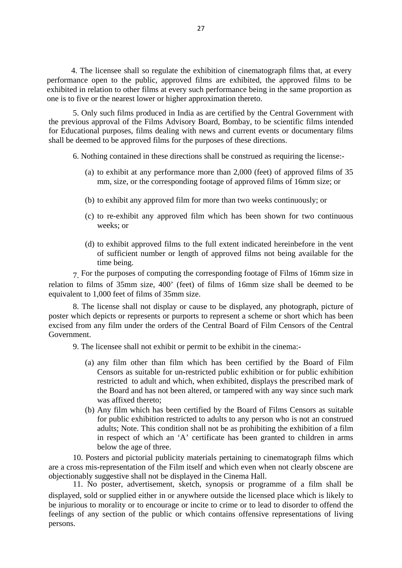4. The licensee shall so regulate the exhibition of cinematograph films that, at every performance open to the public, approved films are exhibited, the approved films to be exhibited in relation to other films at every such performance being in the same proportion as one is to five or the nearest lower or higher approximation thereto.

5. Only such films produced in India as are certified by the Central Government with the previous approval of the Films Advisory Board, Bombay, to be scientific films intended for Educational purposes, films dealing with news and current events or documentary films shall be deemed to be approved films for the purposes of these directions.

6. Nothing contained in these directions shall be construed as requiring the license:-

- (a) to exhibit at any performance more than 2,000 (feet) of approved films of 35 mm, size, or the corresponding footage of approved films of 16mm size; or
- (b) to exhibit any approved film for more than two weeks continuously; or
- (c) to re-exhibit any approved film which has been shown for two continuous weeks; or
- (d) to exhibit approved films to the full extent indicated hereinbefore in the vent of sufficient number or length of approved films not being available for the time being.

7. For the purposes of computing the corresponding footage of Films of 16mm size in relation to films of 35mm size, 400' (feet) of films of 16mm size shall be deemed to be equivalent to 1,000 feet of films of 35mm size.

8. The license shall not display or cause to be displayed, any photograph, picture of poster which depicts or represents or purports to represent a scheme or short which has been excised from any film under the orders of the Central Board of Film Censors of the Central Government.

9. The licensee shall not exhibit or permit to be exhibit in the cinema:-

- (a) any film other than film which has been certified by the Board of Film Censors as suitable for un-restricted public exhibition or for public exhibition restricted to adult and which, when exhibited, displays the prescribed mark of the Board and has not been altered, or tampered with any way since such mark was affixed thereto;
- (b) Any film which has been certified by the Board of Films Censors as suitable for public exhibition restricted to adults to any person who is not an construed adults; Note. This condition shall not be as prohibiting the exhibition of a film in respect of which an 'A' certificate has been granted to children in arms below the age of three.

10. Posters and pictorial publicity materials pertaining to cinematograph films which are a cross mis-representation of the Film itself and which even when not clearly obscene are objectionably suggestive shall not be displayed in the Cinema Hall.

11. No poster, advertisement, sketch, synopsis or programme of a film shall be displayed, sold or supplied either in or anywhere outside the licensed place which is likely to be injurious to morality or to encourage or incite to crime or to lead to disorder to offend the feelings of any section of the public or which contains offensive representations of living persons.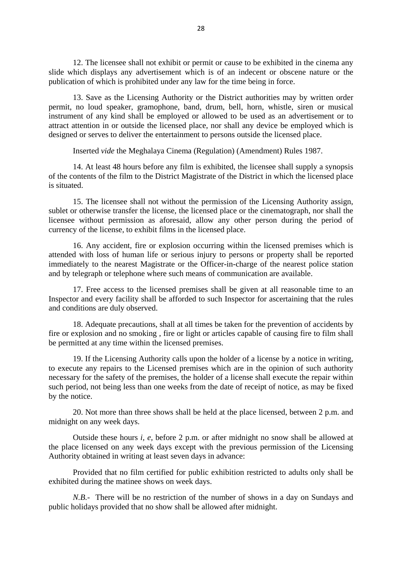12. The licensee shall not exhibit or permit or cause to be exhibited in the cinema any slide which displays any advertisement which is of an indecent or obscene nature or the publication of which is prohibited under any law for the time being in force.

13. Save as the Licensing Authority or the District authorities may by written order permit, no loud speaker, gramophone, band, drum, bell, horn, whistle, siren or musical instrument of any kind shall be employed or allowed to be used as an advertisement or to attract attention in or outside the licensed place, nor shall any device be employed which is designed or serves to deliver the entertainment to persons outside the licensed place.

Inserted *vide* the Meghalaya Cinema (Regulation) (Amendment) Rules 1987.

14. At least 48 hours before any film is exhibited, the licensee shall supply a synopsis of the contents of the film to the District Magistrate of the District in which the licensed place is situated.

15. The licensee shall not without the permission of the Licensing Authority assign, sublet or otherwise transfer the license, the licensed place or the cinematograph, nor shall the licensee without permission as aforesaid, allow any other person during the period of currency of the license, to exhibit films in the licensed place.

16. Any accident, fire or explosion occurring within the licensed premises which is attended with loss of human life or serious injury to persons or property shall be reported immediately to the nearest Magistrate or the Officer-in-charge of the nearest police station and by telegraph or telephone where such means of communication are available.

17. Free access to the licensed premises shall be given at all reasonable time to an Inspector and every facility shall be afforded to such Inspector for ascertaining that the rules and conditions are duly observed.

18. Adequate precautions, shall at all times be taken for the prevention of accidents by fire or explosion and no smoking , fire or light or articles capable of causing fire to film shall be permitted at any time within the licensed premises.

19. If the Licensing Authority calls upon the holder of a license by a notice in writing, to execute any repairs to the Licensed premises which are in the opinion of such authority necessary for the safety of the premises, the holder of a license shall execute the repair within such period, not being less than one weeks from the date of receipt of notice, as may be fixed by the notice.

20. Not more than three shows shall be held at the place licensed, between 2 p.m. and midnight on any week days.

Outside these hours *i, e,* before 2 p.m. or after midnight no snow shall be allowed at the place licensed on any week days except with the previous permission of the Licensing Authority obtained in writing at least seven days in advance:

Provided that no film certified for public exhibition restricted to adults only shall be exhibited during the matinee shows on week days.

*N.B.-* There will be no restriction of the number of shows in a day on Sundays and public holidays provided that no show shall be allowed after midnight.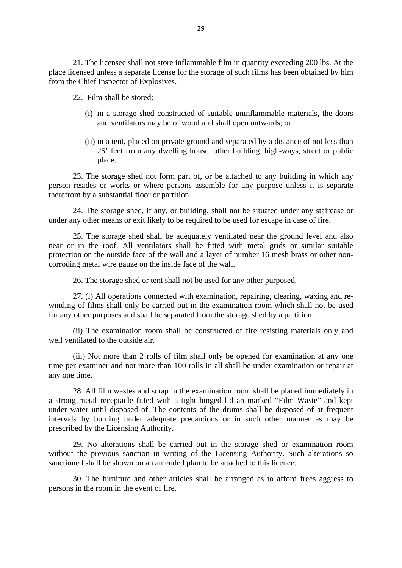21. The licensee shall not store inflammable film in quantity exceeding 200 lbs. At the place licensed unless a separate license for the storage of such films has been obtained by him from the Chief Inspector of Explosives.

22. Film shall be stored:-

- (i) in a storage shed constructed of suitable uninflammable materials, the doors and ventilators may be of wood and shall open outwards; or
- (ii) in a tent, placed on private ground and separated by a distance of not less than 25' feet from any dwelling house, other building, high-ways, street or public place.

23. The storage shed not form part of, or be attached to any building in which any person resides or works or where persons assemble for any purpose unless it is separate therefrom by a substantial floor or partition.

24. The storage shed, if any, or building, shall not be situated under any staircase or under any other means or exit likely to be required to be used for escape in case of fire.

25. The storage shed shall be adequately ventilated near the ground level and also near or in the roof. All ventilators shall be fitted with metal grids or similar suitable protection on the outside face of the wall and a layer of number 16 mesh brass or other noncorroding metal wire gauze on the inside face of the wall.

26. The storage shed or tent shall not be used for any other purposed.

27. (i) All operations connected with examination, repairing, clearing, waxing and rewinding of films shall only be carried out in the examination room which shall not be used for any other purposes and shall be separated from the storage shed by a partition.

(ii) The examination room shall be constructed of fire resisting materials only and well ventilated to the outside air.

(iii) Not more than 2 rolls of film shall only be opened for examination at any one time per examiner and not more than 100 rolls in all shall be under examination or repair at any one time.

28. All film wastes and scrap in the examination room shall be placed immediately in a strong metal receptacle fitted with a tight hinged lid an marked "Film Waste" and kept under water until disposed of. The contents of the drums shall be disposed of at frequent intervals by burning under adequate precautions or in such other manner as may be prescribed by the Licensing Authority.

29. No alterations shall be carried out in the storage shed or examination room without the previous sanction in writing of the Licensing Authority. Such alterations so sanctioned shall be shown on an amended plan to be attached to this licence.

30. The furniture and other articles shall be arranged as to afford frees aggress to persons in the room in the event of fire.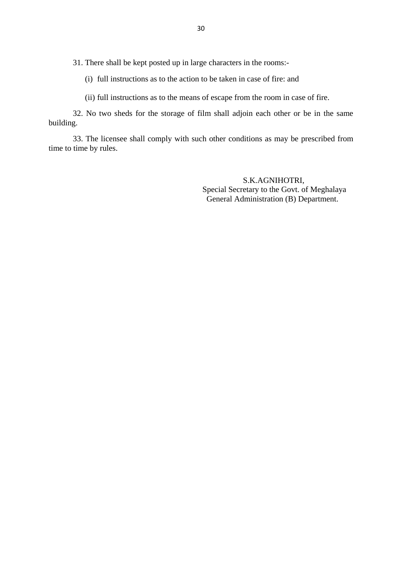31. There shall be kept posted up in large characters in the rooms:-

(i) full instructions as to the action to be taken in case of fire: and

(ii) full instructions as to the means of escape from the room in case of fire.

32. No two sheds for the storage of film shall adjoin each other or be in the same building.

33. The licensee shall comply with such other conditions as may be prescribed from time to time by rules.

> S.K.AGNIHOTRI, Special Secretary to the Govt. of Meghalaya General Administration (B) Department.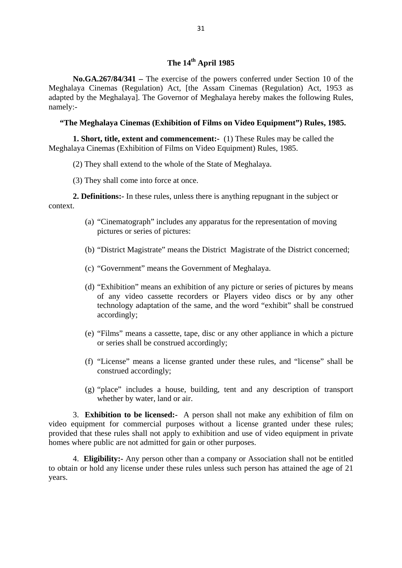**No.GA.267/84/341 –** The exercise of the powers conferred under Section 10 of the Meghalaya Cinemas (Regulation) Act, [the Assam Cinemas (Regulation) Act, 1953 as adapted by the Meghalaya]. The Governor of Meghalaya hereby makes the following Rules, namely:-

# **"The Meghalaya Cinemas (Exhibition of Films on Video Equipment") Rules, 1985.**

**1. Short, title, extent and commencement:-** (1) These Rules may be called the Meghalaya Cinemas (Exhibition of Films on Video Equipment) Rules, 1985.

- (2) They shall extend to the whole of the State of Meghalaya.
- (3) They shall come into force at once.

**2. Definitions:-** In these rules, unless there is anything repugnant in the subject or context.

- (a) "Cinematograph" includes any apparatus for the representation of moving pictures or series of pictures:
- (b) "District Magistrate" means the District Magistrate of the District concerned;
- (c) "Government" means the Government of Meghalaya.
- (d) "Exhibition" means an exhibition of any picture or series of pictures by means of any video cassette recorders or Players video discs or by any other technology adaptation of the same, and the word "exhibit" shall be construed accordingly;
- (e) "Films" means a cassette, tape, disc or any other appliance in which a picture or series shall be construed accordingly;
- (f) "License" means a license granted under these rules, and "license" shall be construed accordingly;
- (g) "place" includes a house, building, tent and any description of transport whether by water, land or air.

3. **Exhibition to be licensed:-** A person shall not make any exhibition of film on video equipment for commercial purposes without a license granted under these rules; provided that these rules shall not apply to exhibition and use of video equipment in private homes where public are not admitted for gain or other purposes.

4. **Eligibility:-** Any person other than a company or Association shall not be entitled to obtain or hold any license under these rules unless such person has attained the age of 21 years.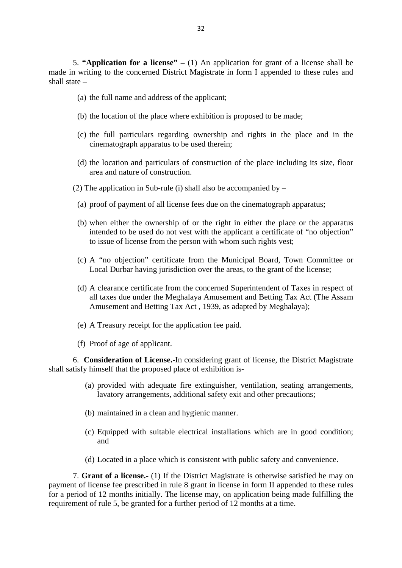5. **"Application for a license" –** (1) An application for grant of a license shall be made in writing to the concerned District Magistrate in form I appended to these rules and shall state –

- (a) the full name and address of the applicant;
- (b) the location of the place where exhibition is proposed to be made;
- (c) the full particulars regarding ownership and rights in the place and in the cinematograph apparatus to be used therein;
- (d) the location and particulars of construction of the place including its size, floor area and nature of construction.
- (2) The application in Sub-rule (i) shall also be accompanied by  $-$ 
	- (a) proof of payment of all license fees due on the cinematograph apparatus;
	- (b) when either the ownership of or the right in either the place or the apparatus intended to be used do not vest with the applicant a certificate of "no objection" to issue of license from the person with whom such rights vest;
	- (c) A "no objection" certificate from the Municipal Board, Town Committee or Local Durbar having jurisdiction over the areas, to the grant of the license;
	- (d) A clearance certificate from the concerned Superintendent of Taxes in respect of all taxes due under the Meghalaya Amusement and Betting Tax Act (The Assam Amusement and Betting Tax Act , 1939, as adapted by Meghalaya);
	- (e) A Treasury receipt for the application fee paid.
	- (f) Proof of age of applicant.

6. **Consideration of License.-**In considering grant of license, the District Magistrate shall satisfy himself that the proposed place of exhibition is-

- (a) provided with adequate fire extinguisher, ventilation, seating arrangements, lavatory arrangements, additional safety exit and other precautions;
- (b) maintained in a clean and hygienic manner.
- (c) Equipped with suitable electrical installations which are in good condition; and
- (d) Located in a place which is consistent with public safety and convenience.

7. **Grant of a license.-** (1) If the District Magistrate is otherwise satisfied he may on payment of license fee prescribed in rule 8 grant in license in form II appended to these rules for a period of 12 months initially. The license may, on application being made fulfilling the requirement of rule 5, be granted for a further period of 12 months at a time.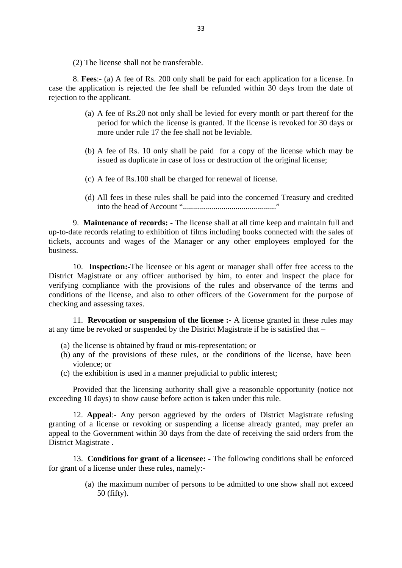(2) The license shall not be transferable.

8. **Fees**:- (a) A fee of Rs. 200 only shall be paid for each application for a license. In case the application is rejected the fee shall be refunded within 30 days from the date of rejection to the applicant.

- (a) A fee of Rs.20 not only shall be levied for every month or part thereof for the period for which the license is granted. If the license is revoked for 30 days or more under rule 17 the fee shall not be leviable.
- (b) A fee of Rs. 10 only shall be paid for a copy of the license which may be issued as duplicate in case of loss or destruction of the original license;
- (c) A fee of Rs.100 shall be charged for renewal of license.
- (d) All fees in these rules shall be paid into the concerned Treasury and credited into the head of Account ".............................................."

9. **Maintenance of records: -** The license shall at all time keep and maintain full and up-to-date records relating to exhibition of films including books connected with the sales of tickets, accounts and wages of the Manager or any other employees employed for the business.

10. **Inspection:-**The licensee or his agent or manager shall offer free access to the District Magistrate or any officer authorised by him, to enter and inspect the place for verifying compliance with the provisions of the rules and observance of the terms and conditions of the license, and also to other officers of the Government for the purpose of checking and assessing taxes.

11. **Revocation or suspension of the license :-** A license granted in these rules may at any time be revoked or suspended by the District Magistrate if he is satisfied that –

- (a) the license is obtained by fraud or mis-representation; or
- (b) any of the provisions of these rules, or the conditions of the license, have been violence; or
- (c) the exhibition is used in a manner prejudicial to public interest;

Provided that the licensing authority shall give a reasonable opportunity (notice not exceeding 10 days) to show cause before action is taken under this rule.

12. **Appeal**:- Any person aggrieved by the orders of District Magistrate refusing granting of a license or revoking or suspending a license already granted, may prefer an appeal to the Government within 30 days from the date of receiving the said orders from the District Magistrate .

13. **Conditions for grant of a licensee: -** The following conditions shall be enforced for grant of a license under these rules, namely:-

> (a) the maximum number of persons to be admitted to one show shall not exceed 50 (fifty).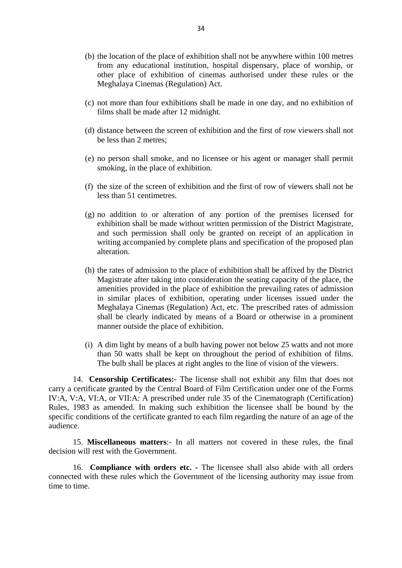- (b) the location of the place of exhibition shall not be anywhere within 100 metres from any educational institution, hospital dispensary, place of worship, or other place of exhibition of cinemas authorised under these rules or the Meghalaya Cinemas (Regulation) Act.
- (c) not more than four exhibitions shall be made in one day, and no exhibition of films shall be made after 12 midnight.
- (d) distance between the screen of exhibition and the first of row viewers shall not be less than 2 metres;
- (e) no person shall smoke, and no licensee or his agent or manager shall permit smoking, in the place of exhibition.
- (f) the size of the screen of exhibition and the first of row of viewers shall not be less than 51 centimetres.
- (g) no addition to or alteration of any portion of the premises licensed for exhibition shall be made without written permission of the District Magistrate, and such permission shall only be granted on receipt of an application in writing accompanied by complete plans and specification of the proposed plan alteration.
- (h) the rates of admission to the place of exhibition shall be affixed by the District Magistrate after taking into consideration the seating capacity of the place, the amenities provided in the place of exhibition the prevailing rates of admission in similar places of exhibition, operating under licenses issued under the Meghalaya Cinemas (Regulation) Act, etc. The prescribed rates of admission shall be clearly indicated by means of a Board or otherwise in a prominent manner outside the place of exhibition.
- (i) A dim light by means of a bulb having power not below 25 watts and not more than 50 watts shall be kept on throughout the period of exhibition of films. The bulb shall be places at right angles to the line of vision of the viewers.

14. **Censorship Certificates:-** The license shall not exhibit any film that does not carry a certificate granted by the Central Board of Film Certification under one of the Forms IV:A, V:A, VI:A, or VII:A: A prescribed under rule 35 of the Cinematograph (Certification) Rules, 1983 as amended. In making such exhibition the licensee shall be bound by the specific conditions of the certificate granted to each film regarding the nature of an age of the audience.

15. **Miscellaneous matters**:- In all matters not covered in these rules, the final decision will rest with the Government.

16. **Compliance with orders etc. -** The licensee shall also abide with all orders connected with these rules which the Government of the licensing authority may issue from time to time.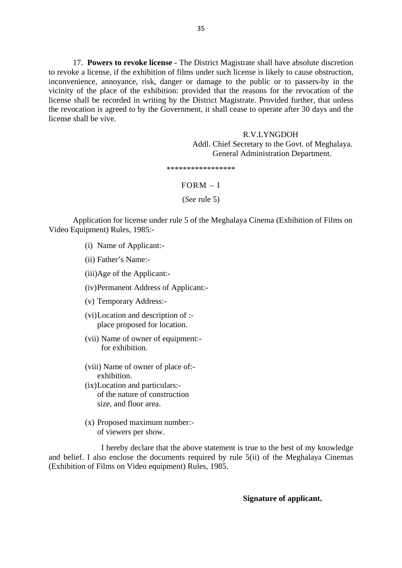17. **Powers to revoke license -** The District Magistrate shall have absolute discretion to revoke a license, if the exhibition of films under such license is likely to cause obstruction, inconvenience, annoyance, risk, danger or damage to the public or to passers-by in the vicinity of the place of the exhibition: provided that the reasons for the revocation of the license shall be recorded in writing by the District Magistrate. Provided further, that unless the revocation is agreed to by the Government, it shall cease to operate after 30 days and the license shall be vive.

# R.V.LYNGDOH Addl. Chief Secretary to the Govt. of Meghalaya. General Administration Department.

\*\*\*\*\*\*\*\*\*\*\*\*\*\*\*\*\*

#### FORM – I

(*See* rule 5)

Application for license under rule 5 of the Meghalaya Cinema (Exhibition of Films on Video Equipment) Rules, 1985:-

- (i) Name of Applicant:-
- (ii) Father's Name:-
- (iii)Age of the Applicant:-
- (iv)Permanent Address of Applicant:-
- (v) Temporary Address:-
- (vi)Location and description of : place proposed for location.
- (vii) Name of owner of equipment: for exhibition.
- (viii) Name of owner of place of: exhibition.
- (ix)Location and particulars: of the nature of construction size, and floor area.
- (x) Proposed maximum number: of viewers per show.

I hereby declare that the above statement is true to the best of my knowledge and belief. I also enclose the documents required by rule 5(ii) of the Meghalaya Cinemas (Exhibition of Films on Video equipment) Rules, 1985.

#### **Signature of applicant.**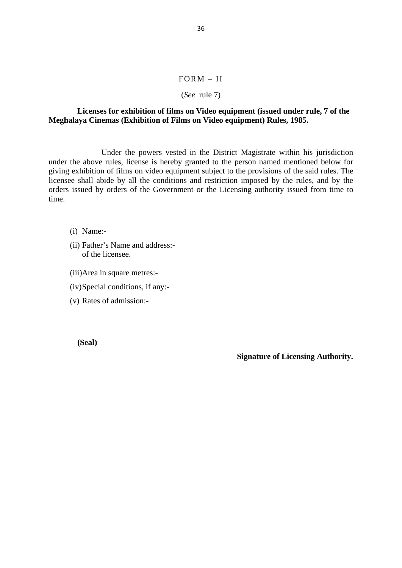# FORM – II

#### (*See* rule 7)

# **Licenses for exhibition of films on Video equipment (issued under rule, 7 of the Meghalaya Cinemas (Exhibition of Films on Video equipment) Rules, 1985.**

Under the powers vested in the District Magistrate within his jurisdiction under the above rules, license is hereby granted to the person named mentioned below for giving exhibition of films on video equipment subject to the provisions of the said rules. The licensee shall abide by all the conditions and restriction imposed by the rules, and by the orders issued by orders of the Government or the Licensing authority issued from time to time.

- (i) Name:-
- (ii) Father's Name and address: of the licensee.
- (iii)Area in square metres:-
- (iv)Special conditions, if any:-
- (v) Rates of admission:-

**(Seal)**

 **Signature of Licensing Authority.**